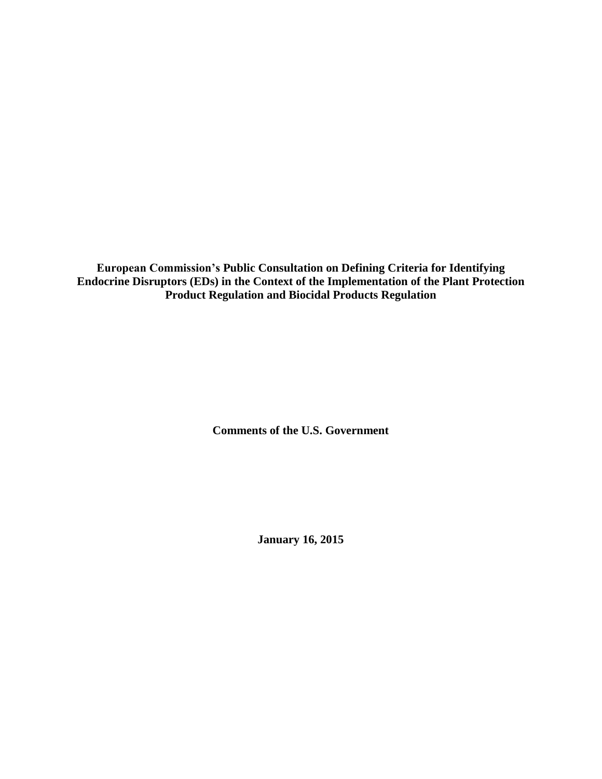**European Commission's Public Consultation on Defining Criteria for Identifying Endocrine Disruptors (EDs) in the Context of the Implementation of the Plant Protection Product Regulation and Biocidal Products Regulation**

**Comments of the U.S. Government**

**January 16, 2015**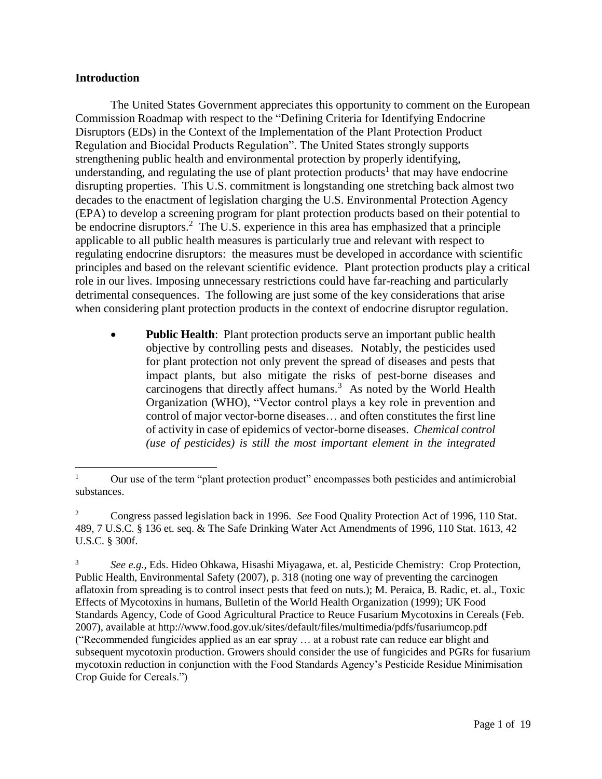### **Introduction**

The United States Government appreciates this opportunity to comment on the European Commission Roadmap with respect to the "Defining Criteria for Identifying Endocrine Disruptors (EDs) in the Context of the Implementation of the Plant Protection Product Regulation and Biocidal Products Regulation". The United States strongly supports strengthening public health and environmental protection by properly identifying, understanding, and regulating the use of plant protection products<sup>1</sup> that may have endocrine disrupting properties. This U.S. commitment is longstanding one stretching back almost two decades to the enactment of legislation charging the U.S. Environmental Protection Agency (EPA) to develop a screening program for plant protection products based on their potential to be endocrine disruptors.<sup>2</sup> The U.S. experience in this area has emphasized that a principle applicable to all public health measures is particularly true and relevant with respect to regulating endocrine disruptors: the measures must be developed in accordance with scientific principles and based on the relevant scientific evidence. Plant protection products play a critical role in our lives. Imposing unnecessary restrictions could have far-reaching and particularly detrimental consequences. The following are just some of the key considerations that arise when considering plant protection products in the context of endocrine disruptor regulation.

 **Public Health**: Plant protection products serve an important public health objective by controlling pests and diseases. Notably, the pesticides used for plant protection not only prevent the spread of diseases and pests that impact plants, but also mitigate the risks of pest-borne diseases and carcinogens that directly affect humans. $3$  As noted by the World Health Organization (WHO), "Vector control plays a key role in prevention and control of major vector-borne diseases… and often constitutes the first line of activity in case of epidemics of vector-borne diseases. *Chemical control (use of pesticides) is still the most important element in the integrated* 

 $\mathbf{1}$ <sup>1</sup> Our use of the term "plant protection product" encompasses both pesticides and antimicrobial substances.

<sup>2</sup> Congress passed legislation back in 1996. *See* Food Quality Protection Act of 1996, 110 Stat. 489, 7 U.S.C. § 136 et. seq. & The Safe Drinking Water Act Amendments of 1996, 110 Stat. 1613, 42 U.S.C. § 300f.

<sup>3</sup> *See e.g*., Eds. Hideo Ohkawa, Hisashi Miyagawa, et. al, Pesticide Chemistry: Crop Protection, Public Health, Environmental Safety (2007), p. 318 (noting one way of preventing the carcinogen aflatoxin from spreading is to control insect pests that feed on nuts.); M. Peraica, B. Radic, et. al., Toxic Effects of Mycotoxins in humans, Bulletin of the World Health Organization (1999); UK Food Standards Agency, Code of Good Agricultural Practice to Reuce Fusarium Mycotoxins in Cereals (Feb. 2007), available at http://www.food.gov.uk/sites/default/files/multimedia/pdfs/fusariumcop.pdf ("Recommended fungicides applied as an ear spray … at a robust rate can reduce ear blight and subsequent mycotoxin production. Growers should consider the use of fungicides and PGRs for fusarium mycotoxin reduction in conjunction with the Food Standards Agency's Pesticide Residue Minimisation Crop Guide for Cereals.")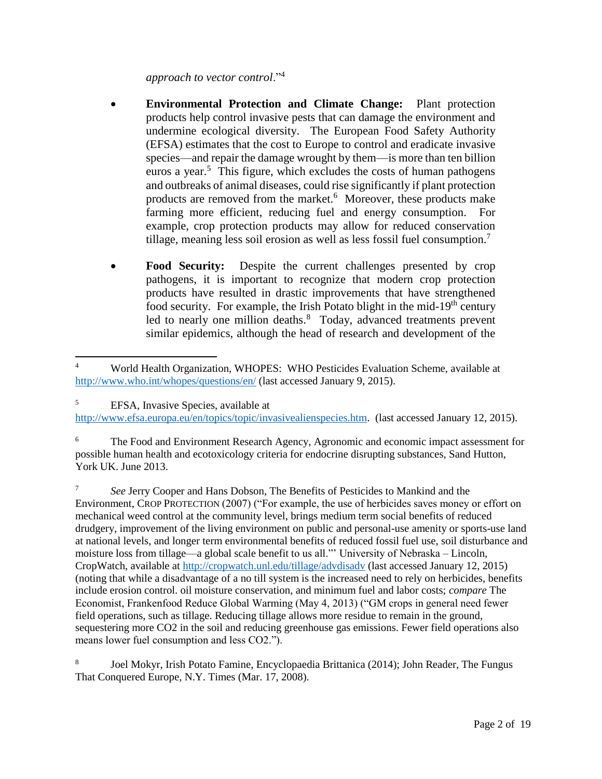### *approach to vector control*."<sup>4</sup>

- **Environmental Protection and Climate Change:** Plant protection products help control invasive pests that can damage the environment and undermine ecological diversity. The European Food Safety Authority (EFSA) estimates that the cost to Europe to control and eradicate invasive species—and repair the damage wrought by them—is more than ten billion euros a year.<sup>5</sup> This figure, which excludes the costs of human pathogens and outbreaks of animal diseases, could rise significantly if plant protection products are removed from the market.<sup>6</sup> Moreover, these products make farming more efficient, reducing fuel and energy consumption. For example, crop protection products may allow for reduced conservation tillage, meaning less soil erosion as well as less fossil fuel consumption.<sup>7</sup>
- **Food Security:** Despite the current challenges presented by crop pathogens, it is important to recognize that modern crop protection products have resulted in drastic improvements that have strengthened food security. For example, the Irish Potato blight in the mid-19<sup>th</sup> century led to nearly one million deaths.<sup>8</sup> Today, advanced treatments prevent similar epidemics, although the head of research and development of the

<sup>7</sup> *See* Jerry Cooper and Hans Dobson, The Benefits of Pesticides to Mankind and the Environment, CROP PROTECTION (2007) ("For example, the use of herbicides saves money or effort on mechanical weed control at the community level, brings medium term social benefits of reduced drudgery, improvement of the living environment on public and personal-use amenity or sports-use land at national levels, and longer term environmental benefits of reduced fossil fuel use, soil disturbance and moisture loss from tillage—a global scale benefit to us all."' University of Nebraska – Lincoln, CropWatch, available at<http://cropwatch.unl.edu/tillage/advdisadv> (last accessed January 12, 2015) (noting that while a disadvantage of a no till system is the increased need to rely on herbicides, benefits include erosion control. oil moisture conservation, and minimum fuel and labor costs; *compare* The Economist, Frankenfood Reduce Global Warming (May 4, 2013) ("GM crops in general need fewer field operations, such as tillage. Reducing tillage allows more residue to remain in the ground, sequestering more CO2 in the soil and reducing greenhouse gas emissions. Fewer field operations also means lower fuel consumption and less CO2.").

8 Joel Mokyr, Irish Potato Famine, Encyclopaedia Brittanica (2014); John Reader, The Fungus That Conquered Europe, N.Y. Times (Mar. 17, 2008).

 $\overline{a}$ <sup>4</sup> World Health Organization, WHOPES: WHO Pesticides Evaluation Scheme, available at <http://www.who.int/whopes/questions/en/> (last accessed January 9, 2015).

<sup>5</sup> EFSA, Invasive Species, available at [http://www.efsa.europa.eu/en/topics/topic/invasivealienspecies.htm.](http://www.efsa.europa.eu/en/topics/topic/invasivealienspecies.htm) (last accessed January 12, 2015).

<sup>&</sup>lt;sup>6</sup> The Food and Environment Research Agency, Agronomic and economic impact assessment for possible human health and ecotoxicology criteria for endocrine disrupting substances, Sand Hutton, York UK. June 2013.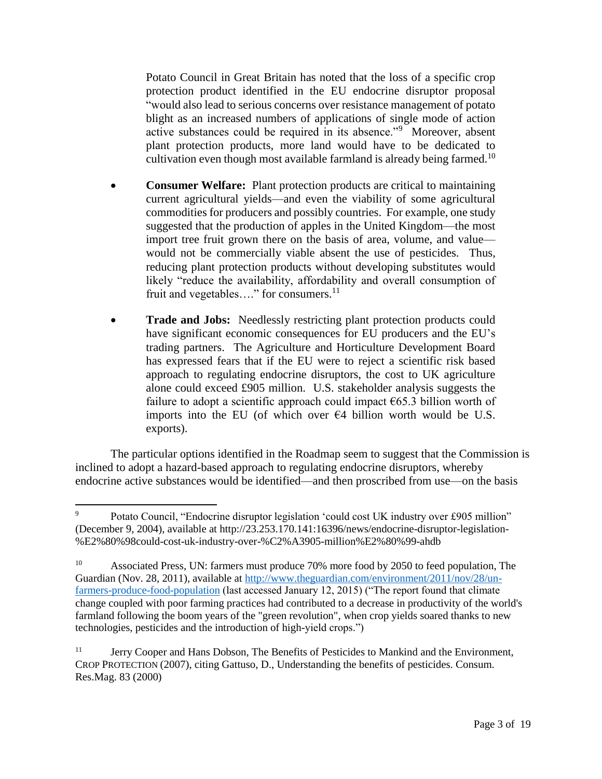Potato Council in Great Britain has noted that the loss of a specific crop protection product identified in the EU endocrine disruptor proposal "would also lead to serious concerns over resistance management of potato blight as an increased numbers of applications of single mode of action active substances could be required in its absence."<sup>9</sup> Moreover, absent plant protection products, more land would have to be dedicated to cultivation even though most available farmland is already being farmed.<sup>10</sup>

- **Consumer Welfare:** Plant protection products are critical to maintaining current agricultural yields—and even the viability of some agricultural commodities for producers and possibly countries. For example, one study suggested that the production of apples in the United Kingdom—the most import tree fruit grown there on the basis of area, volume, and value would not be commercially viable absent the use of pesticides. Thus, reducing plant protection products without developing substitutes would likely "reduce the availability, affordability and overall consumption of fruit and vegetables...." for consumers.<sup>11</sup>
- **Trade and Jobs:** Needlessly restricting plant protection products could have significant economic consequences for EU producers and the EU's trading partners. The Agriculture and Horticulture Development Board has expressed fears that if the EU were to reject a scientific risk based approach to regulating endocrine disruptors, the cost to UK agriculture alone could exceed £905 million. U.S. stakeholder analysis suggests the failure to adopt a scientific approach could impact  $665.3$  billion worth of imports into the EU (of which over  $\epsilon$ 4 billion worth would be U.S. exports).

The particular options identified in the Roadmap seem to suggest that the Commission is inclined to adopt a hazard-based approach to regulating endocrine disruptors, whereby endocrine active substances would be identified—and then proscribed from use—on the basis

 $\overline{\phantom{a}}$ <sup>9</sup> Potato Council, "Endocrine disruptor legislation 'could cost UK industry over £905 million" (December 9, 2004), available at http://23.253.170.141:16396/news/endocrine-disruptor-legislation- %E2%80%98could-cost-uk-industry-over-%C2%A3905-million%E2%80%99-ahdb

<sup>&</sup>lt;sup>10</sup> Associated Press, UN: farmers must produce 70% more food by 2050 to feed population, The Guardian (Nov. 28, 2011), available at [http://www.theguardian.com/environment/2011/nov/28/un](http://www.theguardian.com/environment/2011/nov/28/un-farmers-produce-food-population)[farmers-produce-food-population](http://www.theguardian.com/environment/2011/nov/28/un-farmers-produce-food-population) (last accessed January 12, 2015) ("The report found that climate change coupled with poor farming practices had contributed to a decrease in productivity of the world's farmland following the boom years of the "green revolution", when crop yields soared thanks to new technologies, pesticides and the introduction of high-yield crops.")

<sup>&</sup>lt;sup>11</sup> Jerry Cooper and Hans Dobson, The Benefits of Pesticides to Mankind and the Environment, CROP PROTECTION (2007), citing Gattuso, D., Understanding the benefits of pesticides. Consum. Res.Mag. 83 (2000)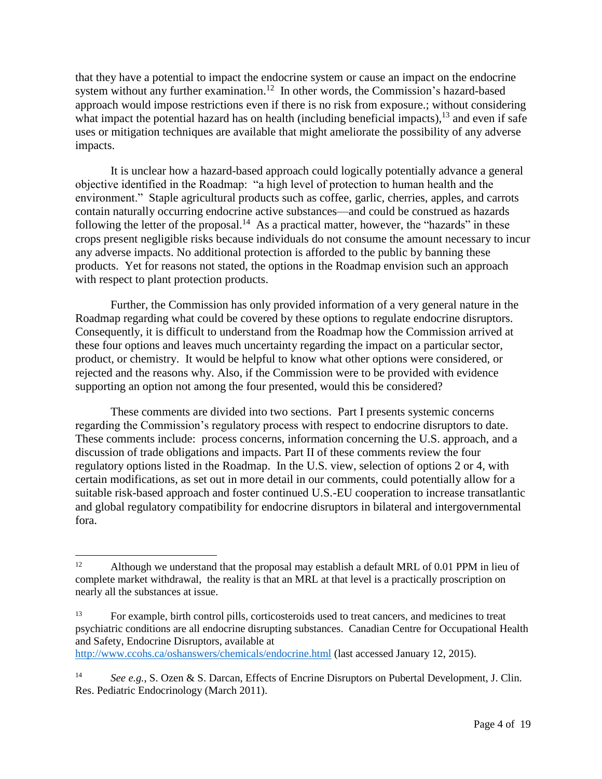that they have a potential to impact the endocrine system or cause an impact on the endocrine system without any further examination.<sup>12</sup> In other words, the Commission's hazard-based approach would impose restrictions even if there is no risk from exposure.; without considering what impact the potential hazard has on health (including beneficial impacts),<sup>13</sup> and even if safe uses or mitigation techniques are available that might ameliorate the possibility of any adverse impacts.

It is unclear how a hazard-based approach could logically potentially advance a general objective identified in the Roadmap: "a high level of protection to human health and the environment." Staple agricultural products such as coffee, garlic, cherries, apples, and carrots contain naturally occurring endocrine active substances—and could be construed as hazards following the letter of the proposal.<sup>14</sup> As a practical matter, however, the "hazards" in these crops present negligible risks because individuals do not consume the amount necessary to incur any adverse impacts. No additional protection is afforded to the public by banning these products. Yet for reasons not stated, the options in the Roadmap envision such an approach with respect to plant protection products.

Further, the Commission has only provided information of a very general nature in the Roadmap regarding what could be covered by these options to regulate endocrine disruptors. Consequently, it is difficult to understand from the Roadmap how the Commission arrived at these four options and leaves much uncertainty regarding the impact on a particular sector, product, or chemistry. It would be helpful to know what other options were considered, or rejected and the reasons why. Also, if the Commission were to be provided with evidence supporting an option not among the four presented, would this be considered?

These comments are divided into two sections. Part I presents systemic concerns regarding the Commission's regulatory process with respect to endocrine disruptors to date. These comments include: process concerns, information concerning the U.S. approach, and a discussion of trade obligations and impacts. Part II of these comments review the four regulatory options listed in the Roadmap. In the U.S. view, selection of options 2 or 4, with certain modifications, as set out in more detail in our comments, could potentially allow for a suitable risk-based approach and foster continued U.S.-EU cooperation to increase transatlantic and global regulatory compatibility for endocrine disruptors in bilateral and intergovernmental fora.

 $12$ Although we understand that the proposal may establish a default MRL of 0.01 PPM in lieu of complete market withdrawal, the reality is that an MRL at that level is a practically proscription on nearly all the substances at issue.

<sup>&</sup>lt;sup>13</sup> For example, birth control pills, corticosteroids used to treat cancers, and medicines to treat psychiatric conditions are all endocrine disrupting substances. Canadian Centre for Occupational Health and Safety, Endocrine Disruptors, available at

<http://www.ccohs.ca/oshanswers/chemicals/endocrine.html> (last accessed January 12, 2015).

<sup>&</sup>lt;sup>14</sup> *See e.g.*, S. Ozen & S. Darcan, Effects of Encrine Disruptors on Pubertal Development, J. Clin. Res. Pediatric Endocrinology (March 2011).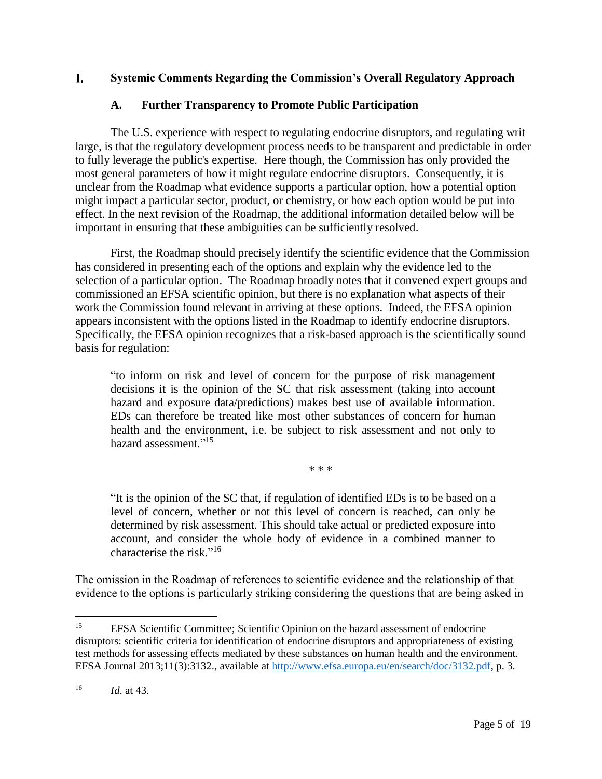#### L. **Systemic Comments Regarding the Commission's Overall Regulatory Approach**

### **A. Further Transparency to Promote Public Participation**

The U.S. experience with respect to regulating endocrine disruptors, and regulating writ large, is that the regulatory development process needs to be transparent and predictable in order to fully leverage the public's expertise. Here though, the Commission has only provided the most general parameters of how it might regulate endocrine disruptors. Consequently, it is unclear from the Roadmap what evidence supports a particular option, how a potential option might impact a particular sector, product, or chemistry, or how each option would be put into effect. In the next revision of the Roadmap, the additional information detailed below will be important in ensuring that these ambiguities can be sufficiently resolved.

First, the Roadmap should precisely identify the scientific evidence that the Commission has considered in presenting each of the options and explain why the evidence led to the selection of a particular option. The Roadmap broadly notes that it convened expert groups and commissioned an EFSA scientific opinion, but there is no explanation what aspects of their work the Commission found relevant in arriving at these options. Indeed, the EFSA opinion appears inconsistent with the options listed in the Roadmap to identify endocrine disruptors. Specifically, the EFSA opinion recognizes that a risk-based approach is the scientifically sound basis for regulation:

"to inform on risk and level of concern for the purpose of risk management decisions it is the opinion of the SC that risk assessment (taking into account hazard and exposure data/predictions) makes best use of available information. EDs can therefore be treated like most other substances of concern for human health and the environment, i.e. be subject to risk assessment and not only to hazard assessment."<sup>15</sup>

\* \* \*

"It is the opinion of the SC that, if regulation of identified EDs is to be based on a level of concern, whether or not this level of concern is reached, can only be determined by risk assessment. This should take actual or predicted exposure into account, and consider the whole body of evidence in a combined manner to characterise the risk." 16

The omission in the Roadmap of references to scientific evidence and the relationship of that evidence to the options is particularly striking considering the questions that are being asked in

 $\overline{\phantom{a}}$ 

<sup>&</sup>lt;sup>15</sup> EFSA Scientific Committee; Scientific Opinion on the hazard assessment of endocrine disruptors: scientific criteria for identification of endocrine disruptors and appropriateness of existing test methods for assessing effects mediated by these substances on human health and the environment. EFSA Journal 2013;11(3):3132., available at [http://www.efsa.europa.eu/en/search/doc/3132.pdf,](http://www.efsa.europa.eu/en/search/doc/3132.pdf) p. 3.

<sup>16</sup> *Id*. at 43.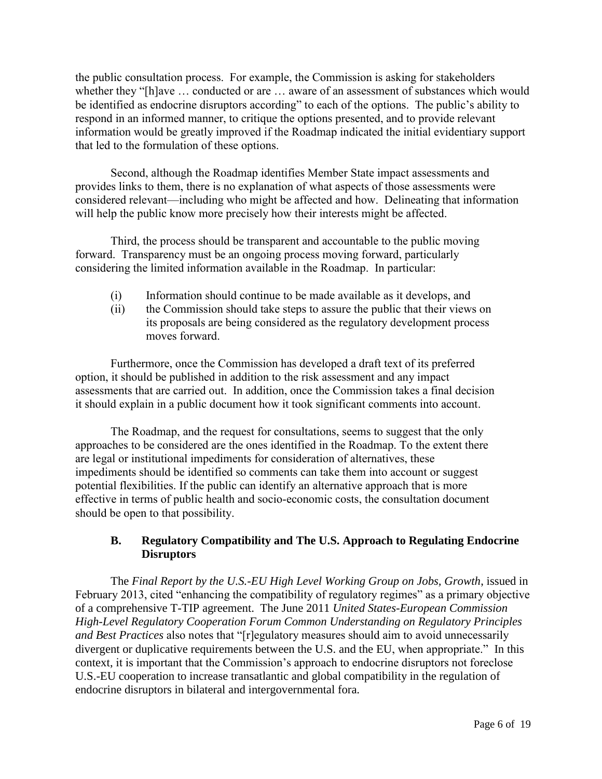the public consultation process. For example, the Commission is asking for stakeholders whether they "[h]ave … conducted or are … aware of an assessment of substances which would be identified as endocrine disruptors according" to each of the options. The public's ability to respond in an informed manner, to critique the options presented, and to provide relevant information would be greatly improved if the Roadmap indicated the initial evidentiary support that led to the formulation of these options.

Second, although the Roadmap identifies Member State impact assessments and provides links to them, there is no explanation of what aspects of those assessments were considered relevant—including who might be affected and how. Delineating that information will help the public know more precisely how their interests might be affected.

Third, the process should be transparent and accountable to the public moving forward. Transparency must be an ongoing process moving forward, particularly considering the limited information available in the Roadmap. In particular:

- (i) Information should continue to be made available as it develops, and
- (ii) the Commission should take steps to assure the public that their views on its proposals are being considered as the regulatory development process moves forward.

Furthermore, once the Commission has developed a draft text of its preferred option, it should be published in addition to the risk assessment and any impact assessments that are carried out. In addition, once the Commission takes a final decision it should explain in a public document how it took significant comments into account.

The Roadmap, and the request for consultations, seems to suggest that the only approaches to be considered are the ones identified in the Roadmap. To the extent there are legal or institutional impediments for consideration of alternatives, these impediments should be identified so comments can take them into account or suggest potential flexibilities. If the public can identify an alternative approach that is more effective in terms of public health and socio-economic costs, the consultation document should be open to that possibility.

# **B. Regulatory Compatibility and The U.S. Approach to Regulating Endocrine Disruptors**

The *Final Report by the U.S.-EU High Level Working Group on Jobs, Growth*, issued in February 2013, cited "enhancing the compatibility of regulatory regimes" as a primary objective of a comprehensive T-TIP agreement. The June 2011 *United States-European Commission High-Level Regulatory Cooperation Forum Common Understanding on Regulatory Principles and Best Practices* also notes that "[r]egulatory measures should aim to avoid unnecessarily divergent or duplicative requirements between the U.S. and the EU, when appropriate." In this context, it is important that the Commission's approach to endocrine disruptors not foreclose U.S.-EU cooperation to increase transatlantic and global compatibility in the regulation of endocrine disruptors in bilateral and intergovernmental fora.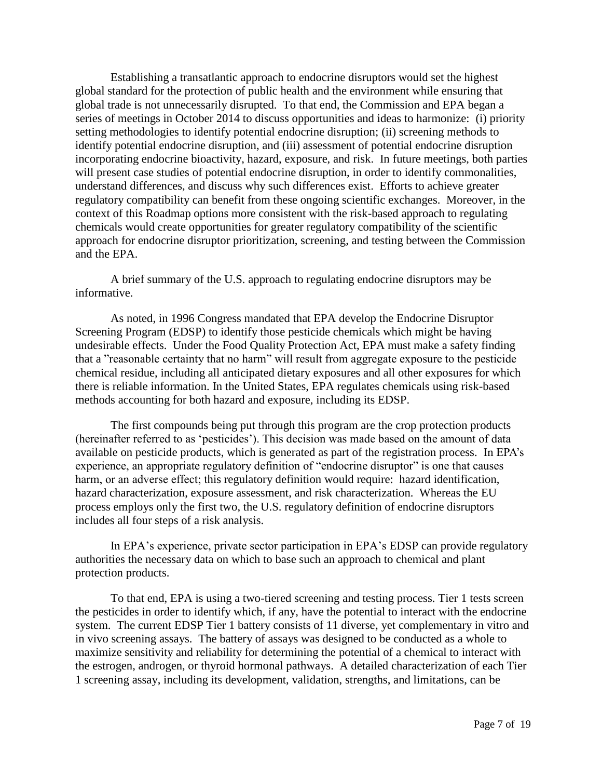Establishing a transatlantic approach to endocrine disruptors would set the highest global standard for the protection of public health and the environment while ensuring that global trade is not unnecessarily disrupted. To that end, the Commission and EPA began a series of meetings in October 2014 to discuss opportunities and ideas to harmonize: (i) priority setting methodologies to identify potential endocrine disruption; (ii) screening methods to identify potential endocrine disruption, and (iii) assessment of potential endocrine disruption incorporating endocrine bioactivity, hazard, exposure, and risk. In future meetings, both parties will present case studies of potential endocrine disruption, in order to identify commonalities, understand differences, and discuss why such differences exist. Efforts to achieve greater regulatory compatibility can benefit from these ongoing scientific exchanges. Moreover, in the context of this Roadmap options more consistent with the risk-based approach to regulating chemicals would create opportunities for greater regulatory compatibility of the scientific approach for endocrine disruptor prioritization, screening, and testing between the Commission and the EPA.

A brief summary of the U.S. approach to regulating endocrine disruptors may be informative.

As noted, in 1996 Congress mandated that EPA develop the Endocrine Disruptor Screening Program (EDSP) to identify those pesticide chemicals which might be having undesirable effects. Under the Food Quality Protection Act, EPA must make a safety finding that a "reasonable certainty that no harm" will result from aggregate exposure to the pesticide chemical residue, including all anticipated dietary exposures and all other exposures for which there is reliable information. In the United States, EPA regulates chemicals using risk-based methods accounting for both hazard and exposure, including its EDSP.

The first compounds being put through this program are the crop protection products (hereinafter referred to as 'pesticides'). This decision was made based on the amount of data available on pesticide products, which is generated as part of the registration process. In EPA's experience, an appropriate regulatory definition of "endocrine disruptor" is one that causes harm, or an adverse effect; this regulatory definition would require: hazard identification, hazard characterization, exposure assessment, and risk characterization. Whereas the EU process employs only the first two, the U.S. regulatory definition of endocrine disruptors includes all four steps of a risk analysis.

In EPA's experience, private sector participation in EPA's EDSP can provide regulatory authorities the necessary data on which to base such an approach to chemical and plant protection products.

To that end, EPA is using a two-tiered screening and testing process. Tier 1 tests screen the pesticides in order to identify which, if any, have the potential to interact with the endocrine system. The current EDSP Tier 1 battery consists of 11 diverse, yet complementary in vitro and in vivo screening assays. The battery of assays was designed to be conducted as a whole to maximize sensitivity and reliability for determining the potential of a chemical to interact with the estrogen, androgen, or thyroid hormonal pathways. A detailed characterization of each Tier 1 screening assay, including its development, validation, strengths, and limitations, can be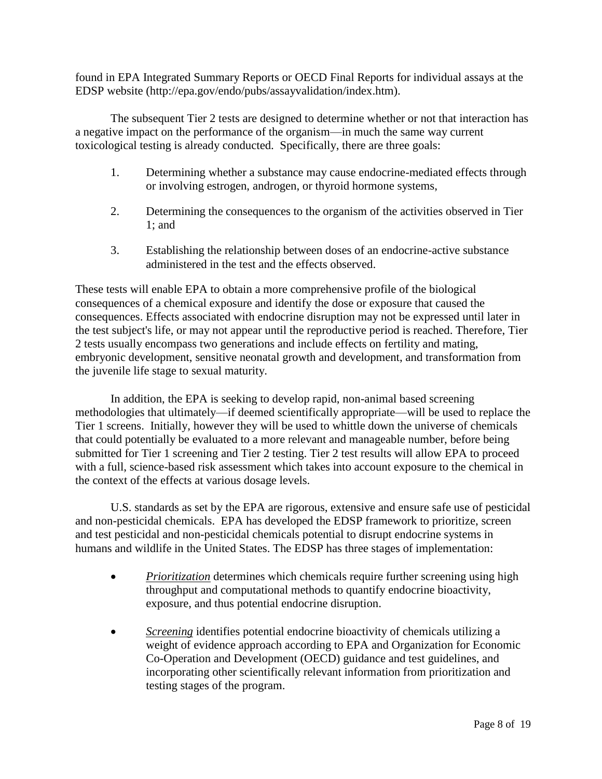found in EPA Integrated Summary Reports or OECD Final Reports for individual assays at the EDSP website (http://epa.gov/endo/pubs/assayvalidation/index.htm).

The subsequent Tier 2 tests are designed to determine whether or not that interaction has a negative impact on the performance of the organism—in much the same way current toxicological testing is already conducted. Specifically, there are three goals:

- 1. Determining whether a substance may cause endocrine-mediated effects through or involving estrogen, androgen, or thyroid hormone systems,
- 2. Determining the consequences to the organism of the activities observed in Tier 1; and
- 3. Establishing the relationship between doses of an endocrine-active substance administered in the test and the effects observed.

These tests will enable EPA to obtain a more comprehensive profile of the biological consequences of a chemical exposure and identify the dose or exposure that caused the consequences. Effects associated with endocrine disruption may not be expressed until later in the test subject's life, or may not appear until the reproductive period is reached. Therefore, Tier 2 tests usually encompass two generations and include effects on fertility and mating, embryonic development, sensitive neonatal growth and development, and transformation from the juvenile life stage to sexual maturity.

In addition, the EPA is seeking to develop rapid, non-animal based screening methodologies that ultimately—if deemed scientifically appropriate—will be used to replace the Tier 1 screens. Initially, however they will be used to whittle down the universe of chemicals that could potentially be evaluated to a more relevant and manageable number, before being submitted for Tier 1 screening and Tier 2 testing. Tier 2 test results will allow EPA to proceed with a full, science-based risk assessment which takes into account exposure to the chemical in the context of the effects at various dosage levels.

U.S. standards as set by the EPA are rigorous, extensive and ensure safe use of pesticidal and non-pesticidal chemicals. EPA has developed the EDSP framework to prioritize, screen and test pesticidal and non-pesticidal chemicals potential to disrupt endocrine systems in humans and wildlife in the United States. The EDSP has three stages of implementation:

- *Prioritization* determines which chemicals require further screening using high throughput and computational methods to quantify endocrine bioactivity, exposure, and thus potential endocrine disruption.
- *Screening* identifies potential endocrine bioactivity of chemicals utilizing a weight of evidence approach according to EPA and Organization for Economic Co-Operation and Development (OECD) guidance and test guidelines, and incorporating other scientifically relevant information from prioritization and testing stages of the program.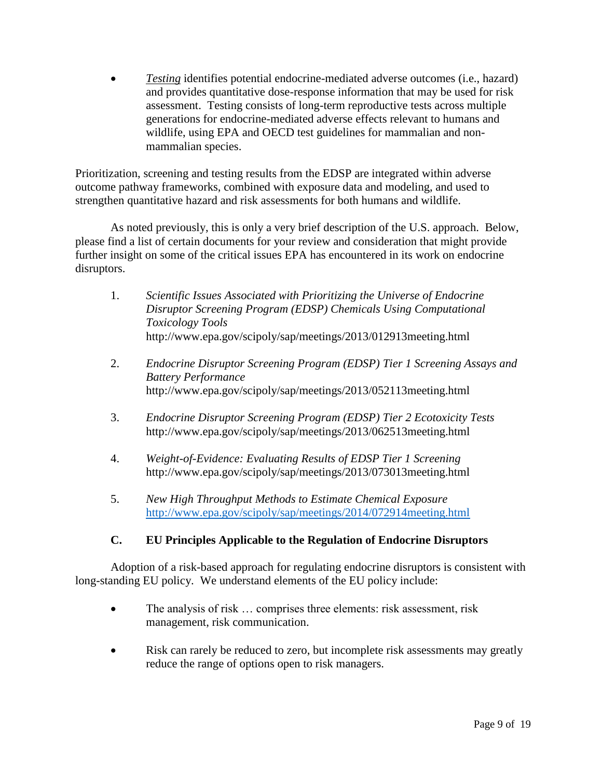*Testing* identifies potential endocrine-mediated adverse outcomes (i.e., hazard) and provides quantitative dose-response information that may be used for risk assessment. Testing consists of long-term reproductive tests across multiple generations for endocrine-mediated adverse effects relevant to humans and wildlife, using EPA and OECD test guidelines for mammalian and nonmammalian species.

Prioritization, screening and testing results from the EDSP are integrated within adverse outcome pathway frameworks, combined with exposure data and modeling, and used to strengthen quantitative hazard and risk assessments for both humans and wildlife.

As noted previously, this is only a very brief description of the U.S. approach. Below, please find a list of certain documents for your review and consideration that might provide further insight on some of the critical issues EPA has encountered in its work on endocrine disruptors.

- 1. *Scientific Issues Associated with Prioritizing the Universe of Endocrine Disruptor Screening Program (EDSP) Chemicals Using Computational Toxicology Tools* http://www.epa.gov/scipoly/sap/meetings/2013/012913meeting.html
- 2. *Endocrine Disruptor Screening Program (EDSP) Tier 1 Screening Assays and Battery Performance* http://www.epa.gov/scipoly/sap/meetings/2013/052113meeting.html
- 3. *Endocrine Disruptor Screening Program (EDSP) Tier 2 Ecotoxicity Tests* http://www.epa.gov/scipoly/sap/meetings/2013/062513meeting.html
- 4. *Weight-of-Evidence: Evaluating Results of EDSP Tier 1 Screening* http://www.epa.gov/scipoly/sap/meetings/2013/073013meeting.html
- 5. *New High Throughput Methods to Estimate Chemical Exposure*  <http://www.epa.gov/scipoly/sap/meetings/2014/072914meeting.html>

# **C. EU Principles Applicable to the Regulation of Endocrine Disruptors**

Adoption of a risk-based approach for regulating endocrine disruptors is consistent with long-standing EU policy. We understand elements of the EU policy include:

- The analysis of risk ... comprises three elements: risk assessment, risk management, risk communication.
- Risk can rarely be reduced to zero, but incomplete risk assessments may greatly reduce the range of options open to risk managers.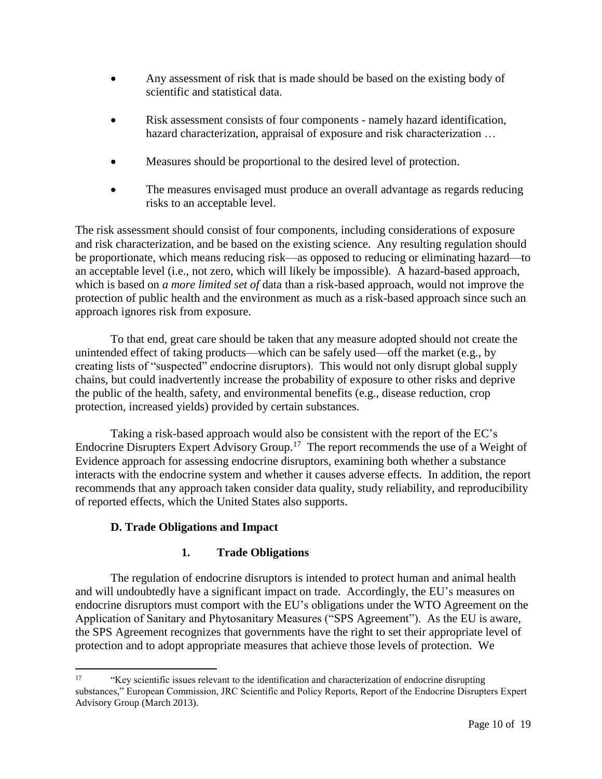- Any assessment of risk that is made should be based on the existing body of scientific and statistical data.
- Risk assessment consists of four components namely hazard identification, hazard characterization, appraisal of exposure and risk characterization ...
- Measures should be proportional to the desired level of protection.
- The measures envisaged must produce an overall advantage as regards reducing risks to an acceptable level.

The risk assessment should consist of four components, including considerations of exposure and risk characterization, and be based on the existing science. Any resulting regulation should be proportionate, which means reducing risk—as opposed to reducing or eliminating hazard—to an acceptable level (i.e., not zero, which will likely be impossible). A hazard-based approach, which is based on *a more limited set of* data than a risk-based approach, would not improve the protection of public health and the environment as much as a risk-based approach since such an approach ignores risk from exposure.

To that end, great care should be taken that any measure adopted should not create the unintended effect of taking products—which can be safely used—off the market (e.g., by creating lists of "suspected" endocrine disruptors). This would not only disrupt global supply chains, but could inadvertently increase the probability of exposure to other risks and deprive the public of the health, safety, and environmental benefits (e.g., disease reduction, crop protection, increased yields) provided by certain substances.

Taking a risk-based approach would also be consistent with the report of the EC's Endocrine Disrupters Expert Advisory Group.<sup>17</sup> The report recommends the use of a Weight of Evidence approach for assessing endocrine disruptors, examining both whether a substance interacts with the endocrine system and whether it causes adverse effects. In addition, the report recommends that any approach taken consider data quality, study reliability, and reproducibility of reported effects, which the United States also supports.

# **D. Trade Obligations and Impact**

# **1. Trade Obligations**

The regulation of endocrine disruptors is intended to protect human and animal health and will undoubtedly have a significant impact on trade. Accordingly, the EU's measures on endocrine disruptors must comport with the EU's obligations under the WTO Agreement on the Application of Sanitary and Phytosanitary Measures ("SPS Agreement"). As the EU is aware, the SPS Agreement recognizes that governments have the right to set their appropriate level of protection and to adopt appropriate measures that achieve those levels of protection. We

 $17\,$ <sup>17</sup> "Key scientific issues relevant to the identification and characterization of endocrine disrupting substances," European Commission, JRC Scientific and Policy Reports, Report of the Endocrine Disrupters Expert Advisory Group (March 2013).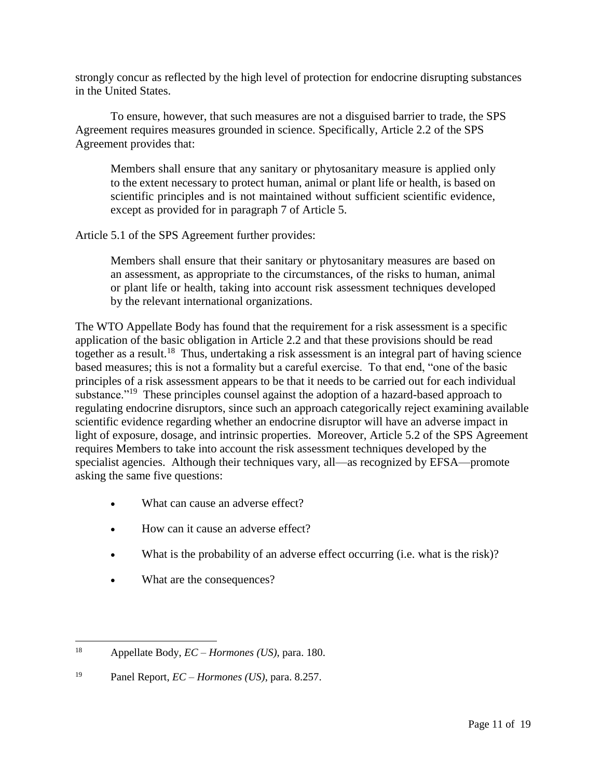strongly concur as reflected by the high level of protection for endocrine disrupting substances in the United States.

To ensure, however, that such measures are not a disguised barrier to trade, the SPS Agreement requires measures grounded in science. Specifically, Article 2.2 of the SPS Agreement provides that:

Members shall ensure that any sanitary or phytosanitary measure is applied only to the extent necessary to protect human, animal or plant life or health, is based on scientific principles and is not maintained without sufficient scientific evidence, except as provided for in paragraph 7 of Article 5.

Article 5.1 of the SPS Agreement further provides:

Members shall ensure that their sanitary or phytosanitary measures are based on an assessment, as appropriate to the circumstances, of the risks to human, animal or plant life or health, taking into account risk assessment techniques developed by the relevant international organizations.

The WTO Appellate Body has found that the requirement for a risk assessment is a specific application of the basic obligation in Article 2.2 and that these provisions should be read together as a result.<sup>18</sup> Thus, undertaking a risk assessment is an integral part of having science based measures; this is not a formality but a careful exercise. To that end, "one of the basic principles of a risk assessment appears to be that it needs to be carried out for each individual substance."<sup>19</sup> These principles counsel against the adoption of a hazard-based approach to regulating endocrine disruptors, since such an approach categorically reject examining available scientific evidence regarding whether an endocrine disruptor will have an adverse impact in light of exposure, dosage, and intrinsic properties. Moreover, Article 5.2 of the SPS Agreement requires Members to take into account the risk assessment techniques developed by the specialist agencies. Although their techniques vary, all—as recognized by EFSA—promote asking the same five questions:

- What can cause an adverse effect?
- How can it cause an adverse effect?
- What is the probability of an adverse effect occurring (i.e. what is the risk)?
- What are the consequences?

<sup>18</sup> <sup>18</sup> Appellate Body, *EC – Hormones (US)*, para. 180.

<sup>19</sup> Panel Report, *EC – Hormones (US)*, para. 8.257.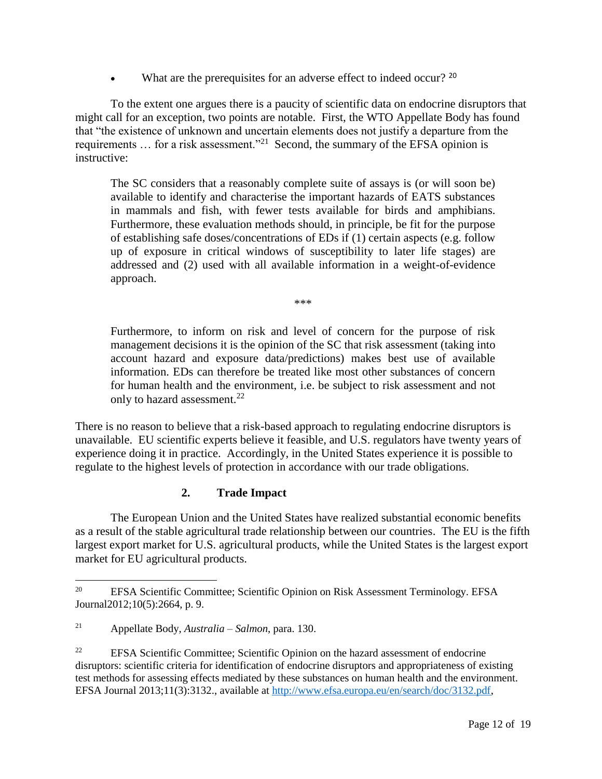What are the prerequisites for an adverse effect to indeed occur? <sup>20</sup>

To the extent one argues there is a paucity of scientific data on endocrine disruptors that might call for an exception, two points are notable. First, the WTO Appellate Body has found that "the existence of unknown and uncertain elements does not justify a departure from the requirements  $\ldots$  for a risk assessment."<sup>21</sup> Second, the summary of the EFSA opinion is instructive:

The SC considers that a reasonably complete suite of assays is (or will soon be) available to identify and characterise the important hazards of EATS substances in mammals and fish, with fewer tests available for birds and amphibians. Furthermore, these evaluation methods should, in principle, be fit for the purpose of establishing safe doses/concentrations of EDs if (1) certain aspects (e.g. follow up of exposure in critical windows of susceptibility to later life stages) are addressed and (2) used with all available information in a weight-of-evidence approach.

\*\*\*

Furthermore, to inform on risk and level of concern for the purpose of risk management decisions it is the opinion of the SC that risk assessment (taking into account hazard and exposure data/predictions) makes best use of available information. EDs can therefore be treated like most other substances of concern for human health and the environment, i.e. be subject to risk assessment and not only to hazard assessment.<sup>22</sup>

There is no reason to believe that a risk-based approach to regulating endocrine disruptors is unavailable. EU scientific experts believe it feasible, and U.S. regulators have twenty years of experience doing it in practice. Accordingly, in the United States experience it is possible to regulate to the highest levels of protection in accordance with our trade obligations.

# **2. Trade Impact**

The European Union and the United States have realized substantial economic benefits as a result of the stable agricultural trade relationship between our countries. The EU is the fifth largest export market for U.S. agricultural products, while the United States is the largest export market for EU agricultural products.

<sup>20</sup> <sup>20</sup> EFSA Scientific Committee; Scientific Opinion on Risk Assessment Terminology. EFSA Journal2012;10(5):2664, p. 9.

<sup>21</sup> Appellate Body, *Australia – Salmon*, para. 130.

<sup>&</sup>lt;sup>22</sup> EFSA Scientific Committee; Scientific Opinion on the hazard assessment of endocrine disruptors: scientific criteria for identification of endocrine disruptors and appropriateness of existing test methods for assessing effects mediated by these substances on human health and the environment. EFSA Journal 2013;11(3):3132., available at [http://www.efsa.europa.eu/en/search/doc/3132.pdf,](http://www.efsa.europa.eu/en/search/doc/3132.pdf)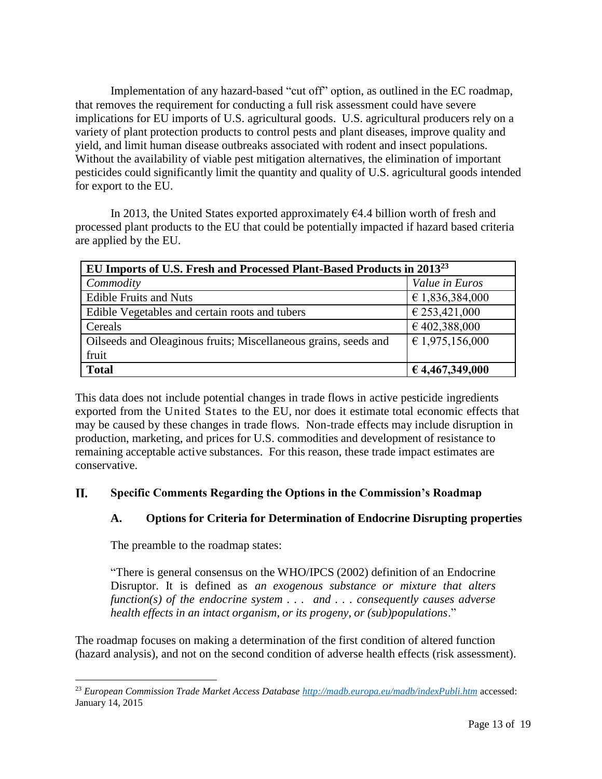Implementation of any hazard-based "cut off" option, as outlined in the EC roadmap, that removes the requirement for conducting a full risk assessment could have severe implications for EU imports of U.S. agricultural goods. U.S. agricultural producers rely on a variety of plant protection products to control pests and plant diseases, improve quality and yield, and limit human disease outbreaks associated with rodent and insect populations. Without the availability of viable pest mitigation alternatives, the elimination of important pesticides could significantly limit the quantity and quality of U.S. agricultural goods intended for export to the EU.

In 2013, the United States exported approximately  $64.4$  billion worth of fresh and processed plant products to the EU that could be potentially impacted if hazard based criteria are applied by the EU.

| EU Imports of U.S. Fresh and Processed Plant-Based Products in 2013 <sup>23</sup> |                 |
|-----------------------------------------------------------------------------------|-----------------|
| Commodity                                                                         | Value in Euros  |
| <b>Edible Fruits and Nuts</b>                                                     | € 1,836,384,000 |
| Edible Vegetables and certain roots and tubers                                    | € 253,421,000   |
| Cereals                                                                           | €402,388,000    |
| Oilseeds and Oleaginous fruits; Miscellaneous grains, seeds and                   | € 1,975,156,000 |
| fruit                                                                             |                 |
| <b>Total</b>                                                                      | € 4,467,349,000 |

This data does not include potential changes in trade flows in active pesticide ingredients exported from the United States to the EU, nor does it estimate total economic effects that may be caused by these changes in trade flows. Non-trade effects may include disruption in production, marketing, and prices for U.S. commodities and development of resistance to remaining acceptable active substances. For this reason, these trade impact estimates are conservative.

#### **II. Specific Comments Regarding the Options in the Commission's Roadmap**

# **A. Options for Criteria for Determination of Endocrine Disrupting properties**

The preamble to the roadmap states:

"There is general consensus on the WHO/IPCS (2002) definition of an Endocrine Disruptor. It is defined as *an exogenous substance or mixture that alters function(s) of the endocrine system . . . and . . . consequently causes adverse health effects in an intact organism, or its progeny, or (sub)populations*."

The roadmap focuses on making a determination of the first condition of altered function (hazard analysis), and not on the second condition of adverse health effects (risk assessment).

 $\overline{\phantom{a}}$ <sup>23</sup> *European Commission Trade Market Access Database<http://madb.europa.eu/madb/indexPubli.htm>* accessed: January 14, 2015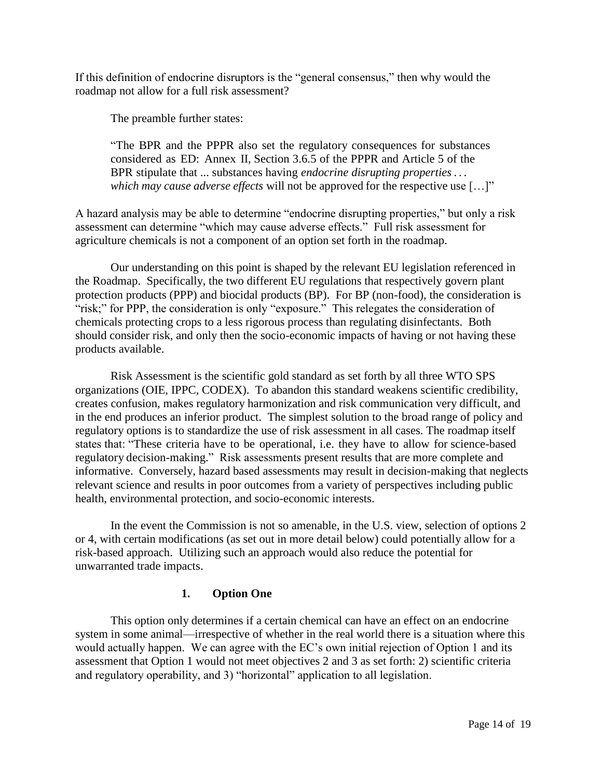If this definition of endocrine disruptors is the "general consensus," then why would the roadmap not allow for a full risk assessment?

The preamble further states:

"The BPR and the PPPR also set the regulatory consequences for substances considered as ED: Annex II, Section 3.6.5 of the PPPR and Article 5 of the BPR stipulate that ... substances having *endocrine disrupting properties . . . which may cause adverse effects* will not be approved for the respective use […]"

A hazard analysis may be able to determine "endocrine disrupting properties," but only a risk assessment can determine "which may cause adverse effects." Full risk assessment for agriculture chemicals is not a component of an option set forth in the roadmap.

Our understanding on this point is shaped by the relevant EU legislation referenced in the Roadmap. Specifically, the two different EU regulations that respectively govern plant protection products (PPP) and biocidal products (BP). For BP (non-food), the consideration is "risk;" for PPP, the consideration is only "exposure." This relegates the consideration of chemicals protecting crops to a less rigorous process than regulating disinfectants. Both should consider risk, and only then the socio-economic impacts of having or not having these products available.

Risk Assessment is the scientific gold standard as set forth by all three WTO SPS organizations (OIE, IPPC, CODEX). To abandon this standard weakens scientific credibility, creates confusion, makes regulatory harmonization and risk communication very difficult, and in the end produces an inferior product. The simplest solution to the broad range of policy and regulatory options is to standardize the use of risk assessment in all cases. The roadmap itself states that: "These criteria have to be operational, i.e. they have to allow for science-based regulatory decision-making." Risk assessments present results that are more complete and informative. Conversely, hazard based assessments may result in decision-making that neglects relevant science and results in poor outcomes from a variety of perspectives including public health, environmental protection, and socio-economic interests.

In the event the Commission is not so amenable, in the U.S. view, selection of options 2 or 4, with certain modifications (as set out in more detail below) could potentially allow for a risk-based approach. Utilizing such an approach would also reduce the potential for unwarranted trade impacts.

# **1. Option One**

This option only determines if a certain chemical can have an effect on an endocrine system in some animal—irrespective of whether in the real world there is a situation where this would actually happen. We can agree with the EC's own initial rejection of Option 1 and its assessment that Option 1 would not meet objectives 2 and 3 as set forth: 2) scientific criteria and regulatory operability, and 3) "horizontal" application to all legislation.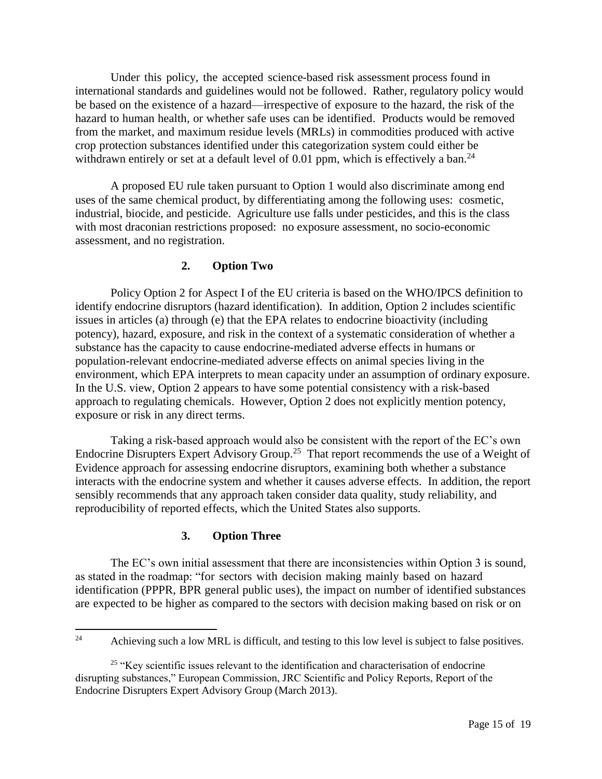Under this policy, the accepted science-based risk assessment process found in international standards and guidelines would not be followed. Rather, regulatory policy would be based on the existence of a hazard—irrespective of exposure to the hazard, the risk of the hazard to human health, or whether safe uses can be identified. Products would be removed from the market, and maximum residue levels (MRLs) in commodities produced with active crop protection substances identified under this categorization system could either be withdrawn entirely or set at a default level of 0.01 ppm, which is effectively a ban.<sup>24</sup>

A proposed EU rule taken pursuant to Option 1 would also discriminate among end uses of the same chemical product, by differentiating among the following uses: cosmetic, industrial, biocide, and pesticide. Agriculture use falls under pesticides, and this is the class with most draconian restrictions proposed: no exposure assessment, no socio-economic assessment, and no registration.

### **2. Option Two**

Policy Option 2 for Aspect I of the EU criteria is based on the WHO/IPCS definition to identify endocrine disruptors (hazard identification). In addition, Option 2 includes scientific issues in articles (a) through (e) that the EPA relates to endocrine bioactivity (including potency), hazard, exposure, and risk in the context of a systematic consideration of whether a substance has the capacity to cause endocrine-mediated adverse effects in humans or population-relevant endocrine-mediated adverse effects on animal species living in the environment, which EPA interprets to mean capacity under an assumption of ordinary exposure. In the U.S. view, Option 2 appears to have some potential consistency with a risk-based approach to regulating chemicals. However, Option 2 does not explicitly mention potency, exposure or risk in any direct terms.

Taking a risk-based approach would also be consistent with the report of the EC's own Endocrine Disrupters Expert Advisory Group.<sup>25</sup> That report recommends the use of a Weight of Evidence approach for assessing endocrine disruptors, examining both whether a substance interacts with the endocrine system and whether it causes adverse effects. In addition, the report sensibly recommends that any approach taken consider data quality, study reliability, and reproducibility of reported effects, which the United States also supports.

### **3. Option Three**

The EC's own initial assessment that there are inconsistencies within Option 3 is sound, as stated in the roadmap: "for sectors with decision making mainly based on hazard identification (PPPR, BPR general public uses), the impact on number of identified substances are expected to be higher as compared to the sectors with decision making based on risk or on

 $24\,$ Achieving such a low MRL is difficult, and testing to this low level is subject to false positives.

<sup>&</sup>lt;sup>25</sup> "Key scientific issues relevant to the identification and characterisation of endocrine disrupting substances," European Commission, JRC Scientific and Policy Reports, Report of the Endocrine Disrupters Expert Advisory Group (March 2013).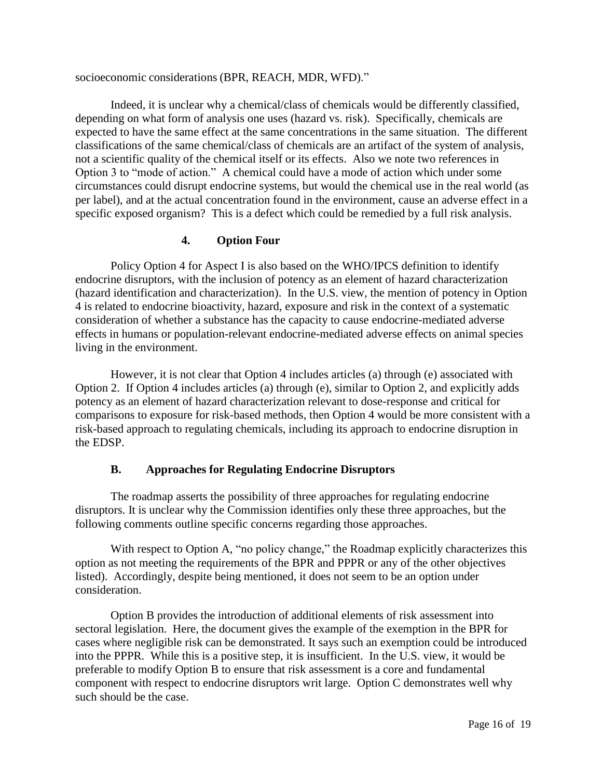socioeconomic considerations (BPR, REACH, MDR, WFD)."

Indeed, it is unclear why a chemical/class of chemicals would be differently classified, depending on what form of analysis one uses (hazard vs. risk). Specifically, chemicals are expected to have the same effect at the same concentrations in the same situation. The different classifications of the same chemical/class of chemicals are an artifact of the system of analysis, not a scientific quality of the chemical itself or its effects. Also we note two references in Option 3 to "mode of action." A chemical could have a mode of action which under some circumstances could disrupt endocrine systems, but would the chemical use in the real world (as per label), and at the actual concentration found in the environment, cause an adverse effect in a specific exposed organism? This is a defect which could be remedied by a full risk analysis.

### **4. Option Four**

Policy Option 4 for Aspect I is also based on the WHO/IPCS definition to identify endocrine disruptors, with the inclusion of potency as an element of hazard characterization (hazard identification and characterization). In the U.S. view, the mention of potency in Option 4 is related to endocrine bioactivity, hazard, exposure and risk in the context of a systematic consideration of whether a substance has the capacity to cause endocrine-mediated adverse effects in humans or population-relevant endocrine-mediated adverse effects on animal species living in the environment.

However, it is not clear that Option 4 includes articles (a) through (e) associated with Option 2. If Option 4 includes articles (a) through (e), similar to Option 2, and explicitly adds potency as an element of hazard characterization relevant to dose-response and critical for comparisons to exposure for risk-based methods, then Option 4 would be more consistent with a risk-based approach to regulating chemicals, including its approach to endocrine disruption in the EDSP.

# **B. Approaches for Regulating Endocrine Disruptors**

The roadmap asserts the possibility of three approaches for regulating endocrine disruptors. It is unclear why the Commission identifies only these three approaches, but the following comments outline specific concerns regarding those approaches.

With respect to Option A, "no policy change," the Roadmap explicitly characterizes this option as not meeting the requirements of the BPR and PPPR or any of the other objectives listed). Accordingly, despite being mentioned, it does not seem to be an option under consideration.

Option B provides the introduction of additional elements of risk assessment into sectoral legislation. Here, the document gives the example of the exemption in the BPR for cases where negligible risk can be demonstrated. It says such an exemption could be introduced into the PPPR. While this is a positive step, it is insufficient. In the U.S. view, it would be preferable to modify Option B to ensure that risk assessment is a core and fundamental component with respect to endocrine disruptors writ large. Option C demonstrates well why such should be the case.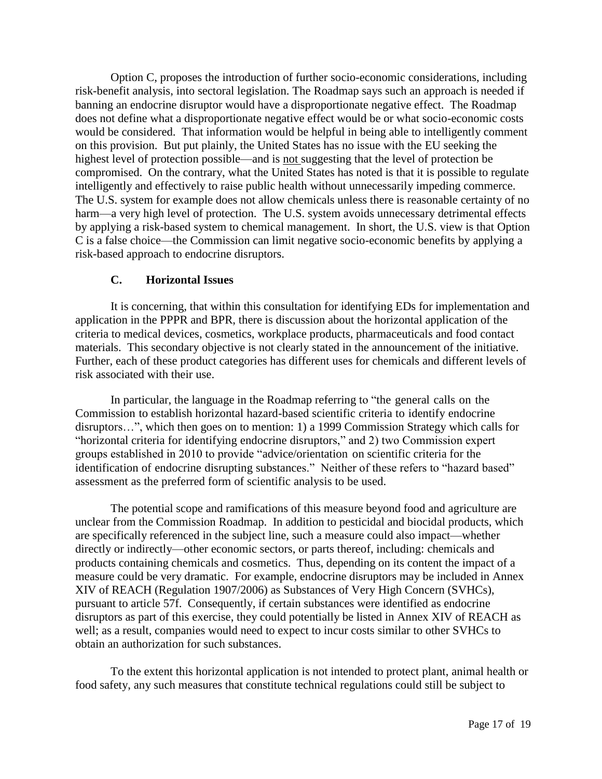Option C, proposes the introduction of further socio-economic considerations, including risk-benefit analysis, into sectoral legislation. The Roadmap says such an approach is needed if banning an endocrine disruptor would have a disproportionate negative effect. The Roadmap does not define what a disproportionate negative effect would be or what socio-economic costs would be considered. That information would be helpful in being able to intelligently comment on this provision. But put plainly, the United States has no issue with the EU seeking the highest level of protection possible—and is not suggesting that the level of protection be compromised. On the contrary, what the United States has noted is that it is possible to regulate intelligently and effectively to raise public health without unnecessarily impeding commerce. The U.S. system for example does not allow chemicals unless there is reasonable certainty of no harm—a very high level of protection. The U.S. system avoids unnecessary detrimental effects by applying a risk-based system to chemical management. In short, the U.S. view is that Option C is a false choice—the Commission can limit negative socio-economic benefits by applying a risk-based approach to endocrine disruptors.

# **C. Horizontal Issues**

It is concerning, that within this consultation for identifying EDs for implementation and application in the PPPR and BPR, there is discussion about the horizontal application of the criteria to medical devices, cosmetics, workplace products, pharmaceuticals and food contact materials. This secondary objective is not clearly stated in the announcement of the initiative. Further, each of these product categories has different uses for chemicals and different levels of risk associated with their use.

In particular, the language in the Roadmap referring to "the general calls on the Commission to establish horizontal hazard-based scientific criteria to identify endocrine disruptors…", which then goes on to mention: 1) a 1999 Commission Strategy which calls for "horizontal criteria for identifying endocrine disruptors," and 2) two Commission expert groups established in 2010 to provide "advice/orientation on scientific criteria for the identification of endocrine disrupting substances." Neither of these refers to "hazard based" assessment as the preferred form of scientific analysis to be used.

The potential scope and ramifications of this measure beyond food and agriculture are unclear from the Commission Roadmap. In addition to pesticidal and biocidal products, which are specifically referenced in the subject line, such a measure could also impact—whether directly or indirectly—other economic sectors, or parts thereof, including: chemicals and products containing chemicals and cosmetics. Thus, depending on its content the impact of a measure could be very dramatic. For example, endocrine disruptors may be included in Annex XIV of REACH (Regulation 1907/2006) as Substances of Very High Concern (SVHCs), pursuant to article 57f. Consequently, if certain substances were identified as endocrine disruptors as part of this exercise, they could potentially be listed in Annex XIV of REACH as well; as a result, companies would need to expect to incur costs similar to other SVHCs to obtain an authorization for such substances.

To the extent this horizontal application is not intended to protect plant, animal health or food safety, any such measures that constitute technical regulations could still be subject to